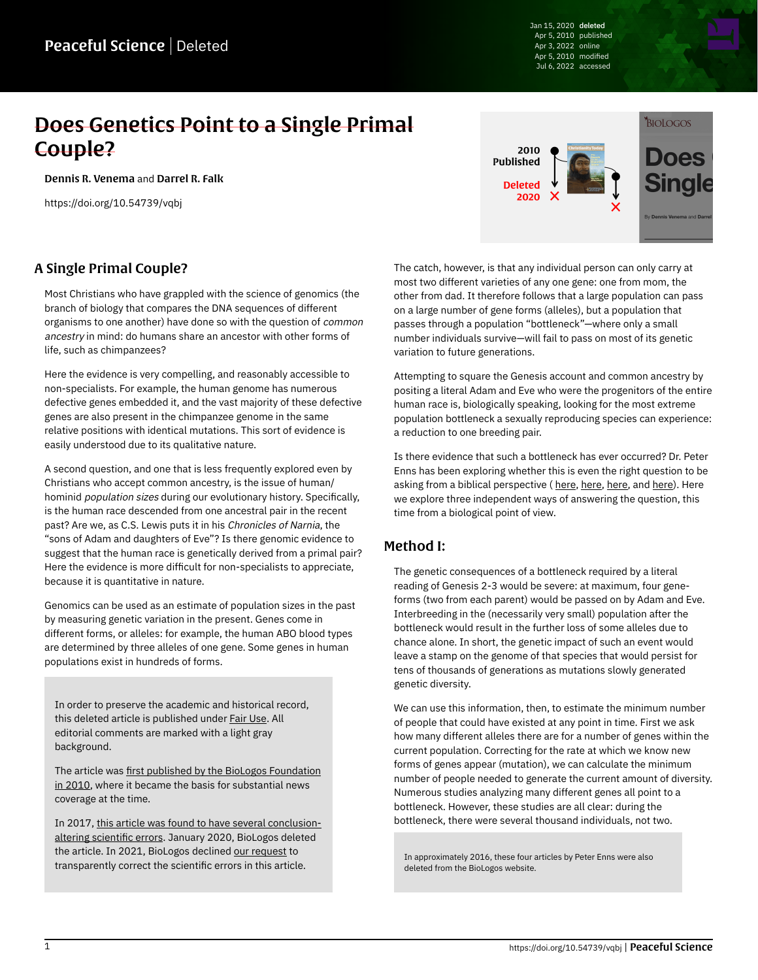Jan 15, 2020 deleted Apr 5, 2010 published Apr 3, 2022 online Apr 5, 2010 modified Jul 6, 2022 accessed

# Does Genetics Point to a Single Primal Couple?

[Dennis R. Venema](https://peacefulscience.org/authors/dennis-venema/) and [Darrel R. Falk](https://peacefulscience.org/authors/darrel-falk/)

<https://doi.org/10.54739/vqbj>

## A Single Primal Couple?

Most Christians who have grappled with the science of genomics (the branch of biology that compares the DNA sequences of different organisms to one another) have done so with the question of common ancestry in mind: do humans share an ancestor with other forms of life, such as chimpanzees?

Here the evidence is very compelling, and reasonably accessible to non-specialists. For example, the human genome has numerous defective genes embedded it, and the vast majority of these defective genes are also present in the chimpanzee genome in the same relative positions with identical mutations. This sort of evidence is easily understood due to its qualitative nature.

A second question, and one that is less frequently explored even by Christians who accept common ancestry, is the issue of human/ hominid population sizes during our evolutionary history. Specifically, is the human race descended from one ancestral pair in the recent past? Are we, as C.S. Lewis puts it in his Chronicles of Narnia, the "sons of Adam and daughters of Eve"? Is there genomic evidence to suggest that the human race is genetically derived from a primal pair? Here the evidence is more difficult for non-specialists to appreciate, because it is quantitative in nature.

Genomics can be used as an estimate of population sizes in the past by measuring genetic variation in the present. Genes come in different forms, or alleles: for example, the human ABO blood types are determined by three alleles of one gene. Some genes in human populations exist in hundreds of forms.

In order to preserve the academic and historical record, this deleted article is published under [Fair Use](https://peacefulscience.org/prints/fair-use-deleted/). All editorial comments are marked with a light gray background.

The article was [first published by the BioLogos Foundation](https://web.archive.org/web/20100607235446/http://biologos.org/blog/does-genetics-point-to-a-single-primal-couple) [in 2010,](https://web.archive.org/web/20100607235446/http://biologos.org/blog/does-genetics-point-to-a-single-primal-couple) where it became the basis for substantial news coverage at the time.

In 2017, [this article was found to have several conclusion](https://peacefulscience.org/articles/three-stories-on-adam/)[altering scientific errors.](https://peacefulscience.org/articles/three-stories-on-adam/) January 2020, BioLogos deleted the article. In 2021, BioLogos declined [our request](https://peacefulscience.org/articles/biologos-stealth-deletes-an-article/) to transparently correct the scientific errors in this article.



The catch, however, is that any individual person can only carry at most two different varieties of any one gene: one from mom, the other from dad. It therefore follows that a large population can pass on a large number of gene forms (alleles), but a population that passes through a population "bottleneck"—where only a small number individuals survive—will fail to pass on most of its genetic variation to future generations.

Attempting to square the Genesis account and common ancestry by positing a literal Adam and Eve who were the progenitors of the entire human race is, biologically speaking, looking for the most extreme population bottleneck a sexually reproducing species can experience: a reduction to one breeding pair.

Is there evidence that such a bottleneck has ever occurred? Dr. Peter Enns has been exploring whether this is even the right question to be asking from a biblical perspective ([here](https://web.archive.org/web/20100620121543/http://biologos.org/blog/pauls-adam-part-3), here, here, and [here\)](https://web.archive.org/web/20100611152209/http://biologos.org/blog/pauls-adam-part-4). Here we explore three independent ways of answering the question, this time from a biological point of view.

#### Method I:

The genetic consequences of a bottleneck required by a literal reading of Genesis 2-3 would be severe: at maximum, four geneforms (two from each parent) would be passed on by Adam and Eve. Interbreeding in the (necessarily very small) population after the bottleneck would result in the further loss of some alleles due to chance alone. In short, the genetic impact of such an event would leave a stamp on the genome of that species that would persist for tens of thousands of generations as mutations slowly generated genetic diversity.

We can use this information, then, to estimate the minimum number of people that could have existed at any point in time. First we ask how many different alleles there are for a number of genes within the current population. Correcting for the rate at which we know new forms of genes appear (mutation), we can calculate the minimum number of people needed to generate the current amount of diversity. Numerous studies analyzing many different genes all point to a bottleneck. However, these studies are all clear: during the bottleneck, there were several thousand individuals, not two.

In approximately 2016, these four articles by Peter Enns were also deleted from the BioLogos website.